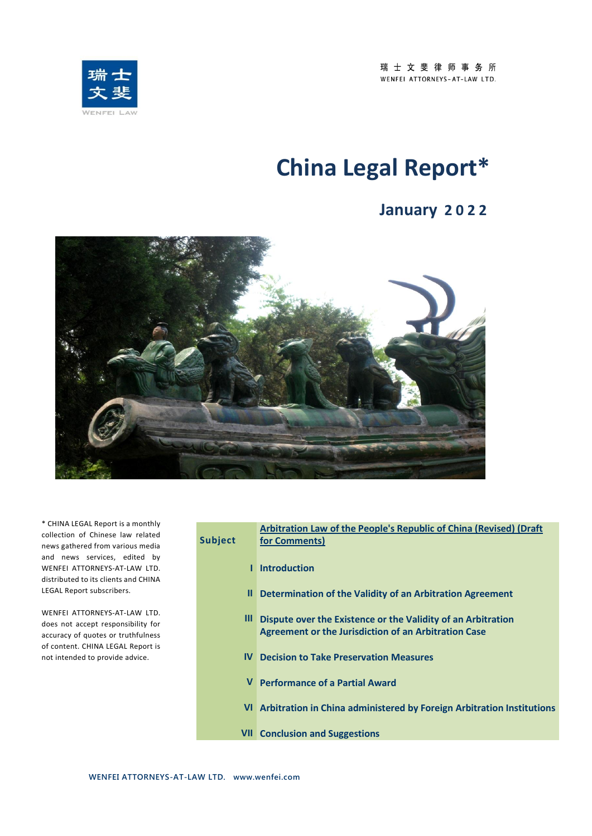

# **China Legal Report\***

## **January 2 0 2 2**



\* CHINA LEGAL Report is a monthly collection of Chinese law related news gathered from various media and news services, edited by WENFEI ATTORNEYS-AT-LAW LTD. distributed to its clients and CHINA LEGAL Report subscribers.

WENFEI ATTORNEYS-AT-LAW LTD. does not accept responsibility for accuracy of quotes or truthfulness of content. CHINA LEGAL Report is not intended to provide advice.

|                 | Arbitration Law of the People's Republic of China (Revised) (Draft       |
|-----------------|--------------------------------------------------------------------------|
| Subject         | for Comments)                                                            |
|                 |                                                                          |
| п               | <b>Introduction</b>                                                      |
| Ш               | Determination of the Validity of an Arbitration Agreement                |
|                 |                                                                          |
| Ш               | Dispute over the Existence or the Validity of an Arbitration             |
|                 | <b>Agreement or the Jurisdiction of an Arbitration Case</b>              |
| IV <sub>1</sub> | <b>Decision to Take Preservation Measures</b>                            |
|                 |                                                                          |
|                 | V Performance of a Partial Award                                         |
|                 |                                                                          |
|                 | VI Arbitration in China administered by Foreign Arbitration Institutions |
|                 |                                                                          |
|                 | <b>VII</b> Conclusion and Suggestions                                    |
|                 |                                                                          |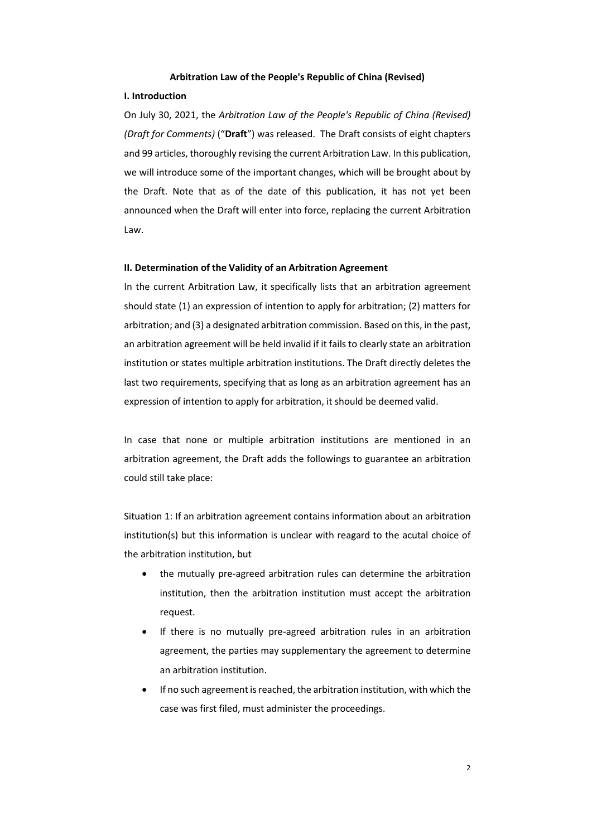### **Arbitration Law of the People's Republic of China (Revised)**

### **I. Introduction**

On July 30, 2021, the *Arbitration Law of the People's Republic of China (Revised) (Draft for Comments)* ("**Draft**") was released. The Draft consists of eight chapters and 99 articles, thoroughly revising the current Arbitration Law. In this publication, we will introduce some of the important changes, which will be brought about by the Draft. Note that as of the date of this publication, it has not yet been announced when the Draft will enter into force, replacing the current Arbitration Law.

### **II. Determination of the Validity of an Arbitration Agreement**

In the current Arbitration Law, it specifically lists that an arbitration agreement should state (1) an expression of intention to apply for arbitration; (2) matters for arbitration; and (3) a designated arbitration commission. Based on this, in the past, an arbitration agreement will be held invalid if it fails to clearly state an arbitration institution or states multiple arbitration institutions. The Draft directly deletes the last two requirements, specifying that as long as an arbitration agreement has an expression of intention to apply for arbitration, it should be deemed valid.

In case that none or multiple arbitration institutions are mentioned in an arbitration agreement, the Draft adds the followings to guarantee an arbitration could still take place:

Situation 1: If an arbitration agreement contains information about an arbitration institution(s) but this information is unclear with reagard to the acutal choice of the arbitration institution, but

- the mutually pre-agreed arbitration rules can determine the arbitration institution, then the arbitration institution must accept the arbitration request.
- If there is no mutually pre-agreed arbitration rules in an arbitration agreement, the parties may supplementary the agreement to determine an arbitration institution.
- If no such agreement is reached, the arbitration institution, with which the case was first filed, must administer the proceedings.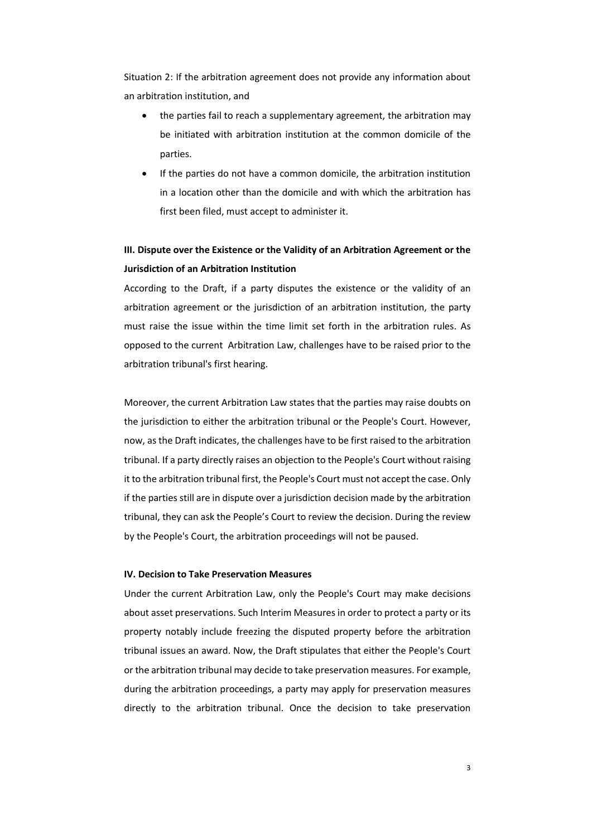Situation 2: If the arbitration agreement does not provide any information about an arbitration institution, and

- the parties fail to reach a supplementary agreement, the arbitration may be initiated with arbitration institution at the common domicile of the parties.
- If the parties do not have a common domicile, the arbitration institution in a location other than the domicile and with which the arbitration has first been filed, must accept to administer it.

### **III. Dispute over the Existence or the Validity of an Arbitration Agreement or the Jurisdiction of an Arbitration Institution**

According to the Draft, if a party disputes the existence or the validity of an arbitration agreement or the jurisdiction of an arbitration institution, the party must raise the issue within the time limit set forth in the arbitration rules. As opposed to the current Arbitration Law, challenges have to be raised prior to the arbitration tribunal's first hearing.

Moreover, the current Arbitration Law states that the parties may raise doubts on the jurisdiction to either the arbitration tribunal or the People's Court. However, now, as the Draft indicates, the challenges have to be first raised to the arbitration tribunal. If a party directly raises an objection to the People's Court without raising it to the arbitration tribunal first, the People's Court must not accept the case. Only if the parties still are in dispute over a jurisdiction decision made by the arbitration tribunal, they can ask the People's Court to review the decision. During the review by the People's Court, the arbitration proceedings will not be paused.

### **IV. Decision to Take Preservation Measures**

Under the current Arbitration Law, only the People's Court may make decisions about asset preservations. Such Interim Measures in order to protect a party or its property notably include freezing the disputed property before the arbitration tribunal issues an award. Now, the Draft stipulates that either the People's Court or the arbitration tribunal may decide to take preservation measures. For example, during the arbitration proceedings, a party may apply for preservation measures directly to the arbitration tribunal. Once the decision to take preservation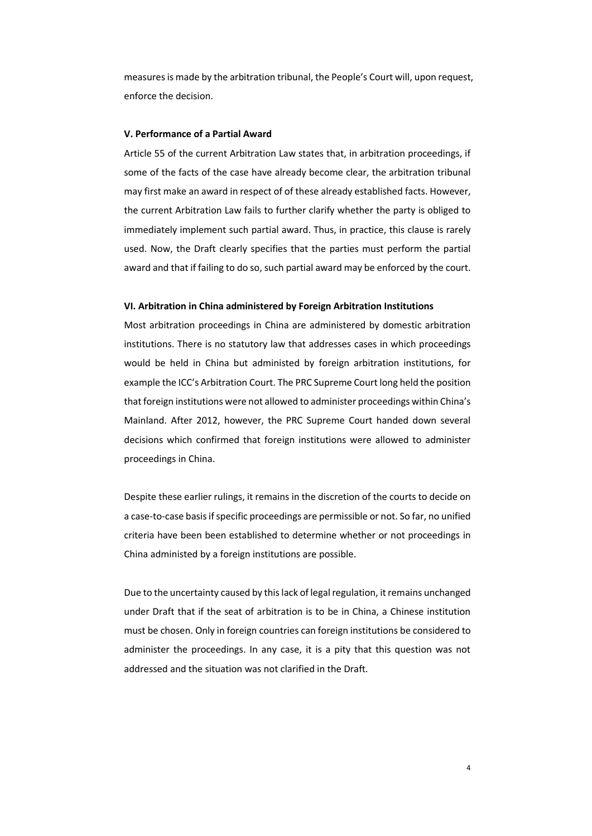measures is made by the arbitration tribunal, the People's Court will, upon request, enforce the decision.

### **V. Performance of a Partial Award**

Article 55 of the current Arbitration Law states that, in arbitration proceedings, if some of the facts of the case have already become clear, the arbitration tribunal may first make an award in respect of of these already established facts. However, the current Arbitration Law fails to further clarify whether the party is obliged to immediately implement such partial award. Thus, in practice, this clause is rarely used. Now, the Draft clearly specifies that the parties must perform the partial award and that if failing to do so, such partial award may be enforced by the court.

#### **VI. Arbitration in China administered by Foreign Arbitration Institutions**

Most arbitration proceedings in China are administered by domestic arbitration institutions. There is no statutory law that addresses cases in which proceedings would be held in China but administed by foreign arbitration institutions, for example the ICC's Arbitration Court. The PRC Supreme Court long held the position that foreign institutions were not allowed to administer proceedings within China's Mainland. After 2012, however, the PRC Supreme Court handed down several decisions which confirmed that foreign institutions were allowed to administer proceedings in China.

Despite these earlier rulings, it remains in the discretion of the courts to decide on a case-to-case basis if specific proceedings are permissible or not. So far, no unified criteria have been been established to determine whether or not proceedings in China administed by a foreign institutions are possible.

Due to the uncertainty caused by this lack of legal regulation, it remains unchanged under Draft that if the seat of arbitration is to be in China, a Chinese institution must be chosen. Only in foreign countries can foreign institutions be considered to administer the proceedings. In any case, it is a pity that this question was not addressed and the situation was not clarified in the Draft.